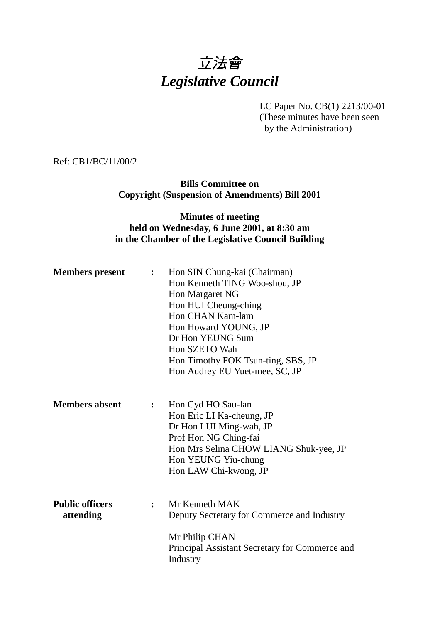# 立法會 *Legislative Council*

LC Paper No. CB(1) 2213/00-01 (These minutes have been seen by the Administration)

Ref: CB1/BC/11/00/2

**Bills Committee on Copyright (Suspension of Amendments) Bill 2001**

### **Minutes of meeting held on Wednesday, 6 June 2001, at 8:30 am in the Chamber of the Legislative Council Building**

| <b>Members</b> present              | $\ddot{\cdot}$ | Hon SIN Chung-kai (Chairman)<br>Hon Kenneth TING Woo-shou, JP<br>Hon Margaret NG<br>Hon HUI Cheung-ching<br>Hon CHAN Kam-lam<br>Hon Howard YOUNG, JP<br>Dr Hon YEUNG Sum<br>Hon SZETO Wah<br>Hon Timothy FOK Tsun-ting, SBS, JP<br>Hon Audrey EU Yuet-mee, SC, JP |
|-------------------------------------|----------------|-------------------------------------------------------------------------------------------------------------------------------------------------------------------------------------------------------------------------------------------------------------------|
| <b>Members absent</b>               | $\ddot{\cdot}$ | Hon Cyd HO Sau-lan<br>Hon Eric LI Ka-cheung, JP<br>Dr Hon LUI Ming-wah, JP<br>Prof Hon NG Ching-fai<br>Hon Mrs Selina CHOW LIANG Shuk-yee, JP<br>Hon YEUNG Yiu-chung<br>Hon LAW Chi-kwong, JP                                                                     |
| <b>Public officers</b><br>attending | $\ddot{\cdot}$ | Mr Kenneth MAK<br>Deputy Secretary for Commerce and Industry<br>Mr Philip CHAN<br>Principal Assistant Secretary for Commerce and<br>Industry                                                                                                                      |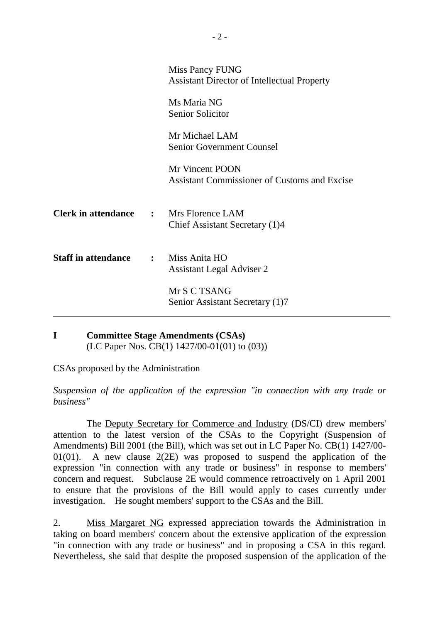|                            |                | Miss Pancy FUNG<br><b>Assistant Director of Intellectual Property</b>  |
|----------------------------|----------------|------------------------------------------------------------------------|
|                            |                | Ms Maria NG<br><b>Senior Solicitor</b>                                 |
|                            |                | Mr Michael LAM<br><b>Senior Government Counsel</b>                     |
|                            |                | Mr Vincent POON<br><b>Assistant Commissioner of Customs and Excise</b> |
| <b>Clerk in attendance</b> | $\ddot{\cdot}$ | Mrs Florence LAM<br>Chief Assistant Secretary (1)4                     |
| <b>Staff in attendance</b> | $\mathbf{r}$   | Miss Anita HO<br>Assistant Legal Adviser 2                             |
|                            |                | Mr S C TSANG<br>Senior Assistant Secretary (1)7                        |

**I Committee Stage Amendments (CSAs)** (LC Paper Nos. CB(1) 1427/00-01(01) to (03))

#### CSAs proposed by the Administration

*Suspension of the application of the expression "in connection with any trade or business"*

The Deputy Secretary for Commerce and Industry (DS/CI) drew members' attention to the latest version of the CSAs to the Copyright (Suspension of Amendments) Bill 2001 (the Bill), which was set out in LC Paper No. CB(1) 1427/00-  $01(01)$ . A new clause  $2(2E)$  was proposed to suspend the application of the expression "in connection with any trade or business" in response to members' concern and request. Subclause 2E would commence retroactively on 1 April 2001 to ensure that the provisions of the Bill would apply to cases currently under investigation. He sought members' support to the CSAs and the Bill.

2. Miss Margaret NG expressed appreciation towards the Administration in taking on board members' concern about the extensive application of the expression "in connection with any trade or business" and in proposing a CSA in this regard. Nevertheless, she said that despite the proposed suspension of the application of the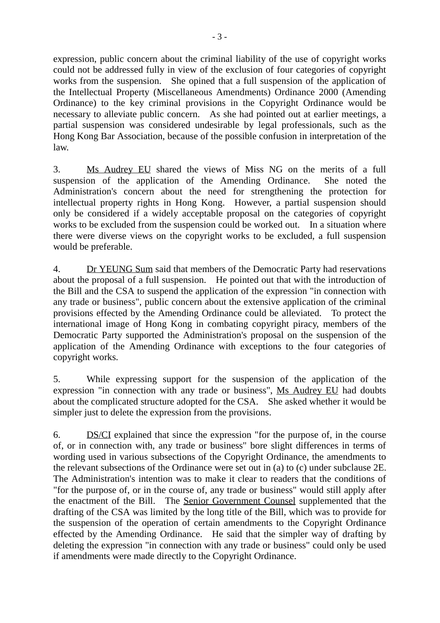expression, public concern about the criminal liability of the use of copyright works could not be addressed fully in view of the exclusion of four categories of copyright works from the suspension. She opined that a full suspension of the application of the Intellectual Property (Miscellaneous Amendments) Ordinance 2000 (Amending Ordinance) to the key criminal provisions in the Copyright Ordinance would be necessary to alleviate public concern. As she had pointed out at earlier meetings, a partial suspension was considered undesirable by legal professionals, such as the Hong Kong Bar Association, because of the possible confusion in interpretation of the law.

3. Ms Audrey EU shared the views of Miss NG on the merits of a full suspension of the application of the Amending Ordinance. She noted the Administration's concern about the need for strengthening the protection for intellectual property rights in Hong Kong. However, a partial suspension should only be considered if a widely acceptable proposal on the categories of copyright works to be excluded from the suspension could be worked out. In a situation where there were diverse views on the copyright works to be excluded, a full suspension would be preferable.

4. Dr YEUNG Sum said that members of the Democratic Party had reservations about the proposal of a full suspension. He pointed out that with the introduction of the Bill and the CSA to suspend the application of the expression "in connection with any trade or business", public concern about the extensive application of the criminal provisions effected by the Amending Ordinance could be alleviated. To protect the international image of Hong Kong in combating copyright piracy, members of the Democratic Party supported the Administration's proposal on the suspension of the application of the Amending Ordinance with exceptions to the four categories of copyright works.

5. While expressing support for the suspension of the application of the expression "in connection with any trade or business", Ms Audrey EU had doubts about the complicated structure adopted for the CSA. She asked whether it would be simpler just to delete the expression from the provisions.

6. DS/CI explained that since the expression "for the purpose of, in the course of, or in connection with, any trade or business" bore slight differences in terms of wording used in various subsections of the Copyright Ordinance, the amendments to the relevant subsections of the Ordinance were set out in (a) to (c) under subclause 2E. The Administration's intention was to make it clear to readers that the conditions of "for the purpose of, or in the course of, any trade or business" would still apply after the enactment of the Bill. The Senior Government Counsel supplemented that the drafting of the CSA was limited by the long title of the Bill, which was to provide for the suspension of the operation of certain amendments to the Copyright Ordinance effected by the Amending Ordinance. He said that the simpler way of drafting by deleting the expression "in connection with any trade or business" could only be used if amendments were made directly to the Copyright Ordinance.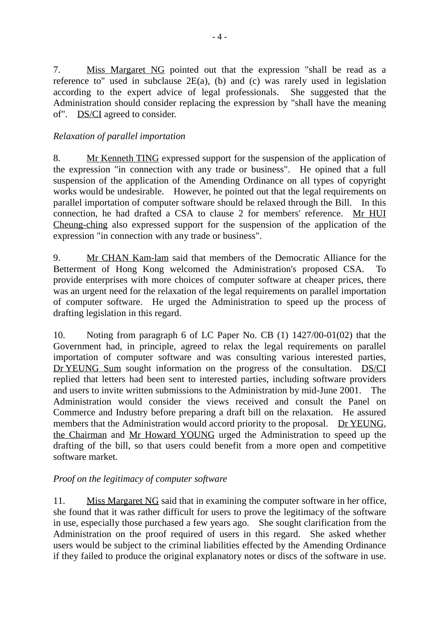7. Miss Margaret NG pointed out that the expression "shall be read as a reference to" used in subclause  $2E(a)$ , (b) and (c) was rarely used in legislation according to the expert advice of legal professionals. She suggested that the Administration should consider replacing the expression by "shall have the meaning of". DS/CI agreed to consider.

# *Relaxation of parallel importation*

8. Mr Kenneth TING expressed support for the suspension of the application of the expression "in connection with any trade or business". He opined that a full suspension of the application of the Amending Ordinance on all types of copyright works would be undesirable. However, he pointed out that the legal requirements on parallel importation of computer software should be relaxed through the Bill. In this connection, he had drafted a CSA to clause 2 for members' reference. Mr HUI Cheung-ching also expressed support for the suspension of the application of the expression "in connection with any trade or business".

9. Mr CHAN Kam-lam said that members of the Democratic Alliance for the Betterment of Hong Kong welcomed the Administration's proposed CSA. To provide enterprises with more choices of computer software at cheaper prices, there was an urgent need for the relaxation of the legal requirements on parallel importation of computer software. He urged the Administration to speed up the process of drafting legislation in this regard.

10. Noting from paragraph 6 of LC Paper No. CB (1) 1427/00-01(02) that the Government had, in principle, agreed to relax the legal requirements on parallel importation of computer software and was consulting various interested parties, Dr YEUNG Sum sought information on the progress of the consultation. DS/CI replied that letters had been sent to interested parties, including software providers and users to invite written submissions to the Administration by mid-June 2001. The Administration would consider the views received and consult the Panel on Commerce and Industry before preparing a draft bill on the relaxation. He assured members that the Administration would accord priority to the proposal. Dr YEUNG, the Chairman and Mr Howard YOUNG urged the Administration to speed up the drafting of the bill, so that users could benefit from a more open and competitive software market.

# *Proof on the legitimacy of computer software*

11. Miss Margaret NG said that in examining the computer software in her office, she found that it was rather difficult for users to prove the legitimacy of the software in use, especially those purchased a few years ago. She sought clarification from the Administration on the proof required of users in this regard. She asked whether users would be subject to the criminal liabilities effected by the Amending Ordinance if they failed to produce the original explanatory notes or discs of the software in use.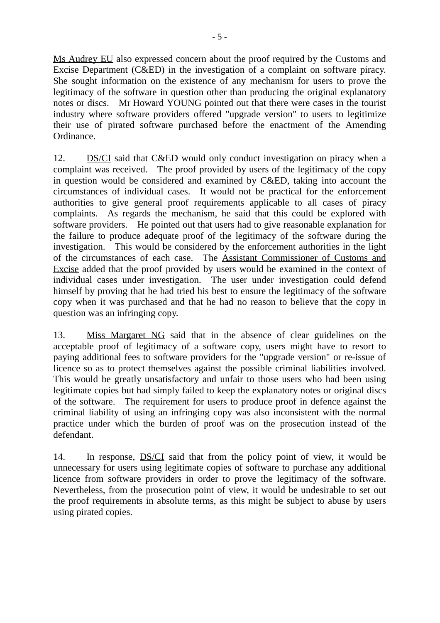Ms Audrey EU also expressed concern about the proof required by the Customs and Excise Department (C&ED) in the investigation of a complaint on software piracy. She sought information on the existence of any mechanism for users to prove the legitimacy of the software in question other than producing the original explanatory notes or discs. Mr Howard YOUNG pointed out that there were cases in the tourist industry where software providers offered "upgrade version" to users to legitimize their use of pirated software purchased before the enactment of the Amending Ordinance.

12. DS/CI said that C&ED would only conduct investigation on piracy when a complaint was received. The proof provided by users of the legitimacy of the copy in question would be considered and examined by C&ED, taking into account the circumstances of individual cases. It would not be practical for the enforcement authorities to give general proof requirements applicable to all cases of piracy complaints. As regards the mechanism, he said that this could be explored with software providers. He pointed out that users had to give reasonable explanation for the failure to produce adequate proof of the legitimacy of the software during the investigation. This would be considered by the enforcement authorities in the light of the circumstances of each case. The Assistant Commissioner of Customs and Excise added that the proof provided by users would be examined in the context of individual cases under investigation. The user under investigation could defend himself by proving that he had tried his best to ensure the legitimacy of the software copy when it was purchased and that he had no reason to believe that the copy in question was an infringing copy.

13. Miss Margaret NG said that in the absence of clear guidelines on the acceptable proof of legitimacy of a software copy, users might have to resort to paying additional fees to software providers for the "upgrade version" or re-issue of licence so as to protect themselves against the possible criminal liabilities involved. This would be greatly unsatisfactory and unfair to those users who had been using legitimate copies but had simply failed to keep the explanatory notes or original discs of the software. The requirement for users to produce proof in defence against the criminal liability of using an infringing copy was also inconsistent with the normal practice under which the burden of proof was on the prosecution instead of the defendant.

14. In response, DS/CI said that from the policy point of view, it would be unnecessary for users using legitimate copies of software to purchase any additional licence from software providers in order to prove the legitimacy of the software. Nevertheless, from the prosecution point of view, it would be undesirable to set out the proof requirements in absolute terms, as this might be subject to abuse by users using pirated copies.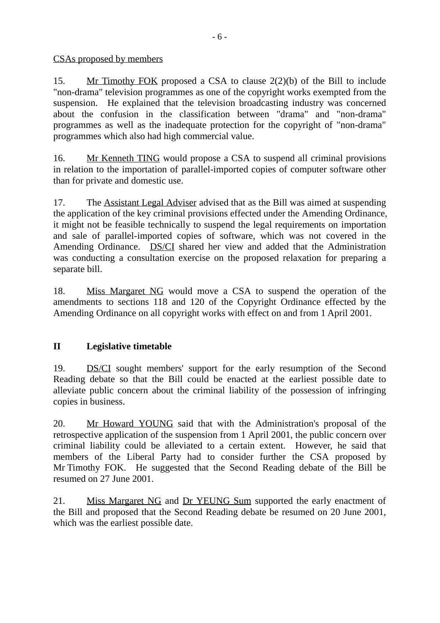CSAs proposed by members

15. Mr Timothy FOK proposed a CSA to clause 2(2)(b) of the Bill to include "non-drama" television programmes as one of the copyright works exempted from the suspension. He explained that the television broadcasting industry was concerned about the confusion in the classification between "drama" and "non-drama" programmes as well as the inadequate protection for the copyright of "non-drama" programmes which also had high commercial value.

16. Mr Kenneth TING would propose a CSA to suspend all criminal provisions in relation to the importation of parallel-imported copies of computer software other than for private and domestic use.

17. The Assistant Legal Adviser advised that as the Bill was aimed at suspending the application of the key criminal provisions effected under the Amending Ordinance, it might not be feasible technically to suspend the legal requirements on importation and sale of parallel-imported copies of software, which was not covered in the Amending Ordinance. DS/CI shared her view and added that the Administration was conducting a consultation exercise on the proposed relaxation for preparing a separate bill.

18. Miss Margaret NG would move a CSA to suspend the operation of the amendments to sections 118 and 120 of the Copyright Ordinance effected by the Amending Ordinance on all copyright works with effect on and from 1 April 2001.

# **II Legislative timetable**

19. DS/CI sought members' support for the early resumption of the Second Reading debate so that the Bill could be enacted at the earliest possible date to alleviate public concern about the criminal liability of the possession of infringing copies in business.

20. Mr Howard YOUNG said that with the Administration's proposal of the retrospective application of the suspension from 1 April 2001, the public concern over criminal liability could be alleviated to a certain extent. However, he said that members of the Liberal Party had to consider further the CSA proposed by Mr Timothy FOK. He suggested that the Second Reading debate of the Bill be resumed on 27 June 2001.

21. Miss Margaret NG and Dr YEUNG Sum supported the early enactment of the Bill and proposed that the Second Reading debate be resumed on 20 June 2001, which was the earliest possible date.